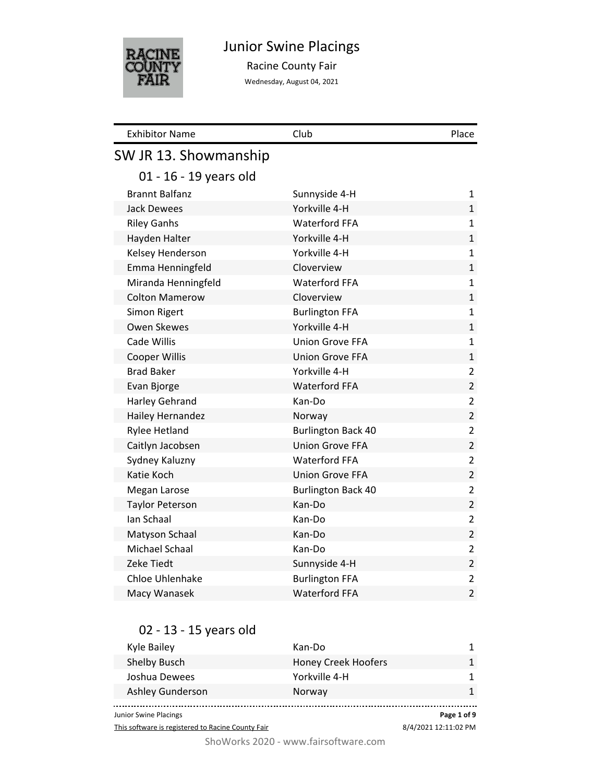

### Junior Swine Placings

Racine County Fair

Wednesday, August 04, 2021

| <b>Exhibitor Name</b>  | Club                      | Place          |
|------------------------|---------------------------|----------------|
| SW JR 13. Showmanship  |                           |                |
| 01 - 16 - 19 years old |                           |                |
| <b>Brannt Balfanz</b>  | Sunnyside 4-H             | 1              |
| <b>Jack Dewees</b>     | Yorkville 4-H             | 1              |
| <b>Riley Ganhs</b>     | <b>Waterford FFA</b>      | 1              |
| Hayden Halter          | Yorkville 4-H             | $\mathbf{1}$   |
| Kelsey Henderson       | Yorkville 4-H             | 1              |
| Emma Henningfeld       | Cloverview                | $\mathbf{1}$   |
| Miranda Henningfeld    | <b>Waterford FFA</b>      | $\mathbf{1}$   |
| <b>Colton Mamerow</b>  | Cloverview                | $\mathbf 1$    |
| Simon Rigert           | <b>Burlington FFA</b>     | 1              |
| <b>Owen Skewes</b>     | Yorkville 4-H             | $\mathbf{1}$   |
| Cade Willis            | <b>Union Grove FFA</b>    | $\mathbf{1}$   |
| <b>Cooper Willis</b>   | <b>Union Grove FFA</b>    | $\mathbf 1$    |
| <b>Brad Baker</b>      | Yorkville 4-H             | $\overline{2}$ |
| Evan Bjorge            | <b>Waterford FFA</b>      | $\overline{2}$ |
| <b>Harley Gehrand</b>  | Kan-Do                    | $\overline{2}$ |
| Hailey Hernandez       | Norway                    | $\overline{2}$ |
| <b>Rylee Hetland</b>   | <b>Burlington Back 40</b> | $\overline{2}$ |
| Caitlyn Jacobsen       | <b>Union Grove FFA</b>    | $\overline{2}$ |
| Sydney Kaluzny         | <b>Waterford FFA</b>      | $\overline{2}$ |
| Katie Koch             | <b>Union Grove FFA</b>    | $\overline{2}$ |
| Megan Larose           | <b>Burlington Back 40</b> | 2              |
| <b>Taylor Peterson</b> | Kan-Do                    | $\overline{2}$ |
| Ian Schaal             | Kan-Do                    | $\overline{2}$ |
| Matyson Schaal         | Kan-Do                    | $\overline{2}$ |
| Michael Schaal         | Kan-Do                    | $\overline{2}$ |
| Zeke Tiedt             | Sunnyside 4-H             | $\overline{2}$ |
| Chloe Uhlenhake        | <b>Burlington FFA</b>     | $\overline{2}$ |
| Macy Wanasek           | <b>Waterford FFA</b>      | $\overline{2}$ |

#### 02 - 13 - 15 years old

| Junior Swine Placings   |                            | Page 1 of 9 |
|-------------------------|----------------------------|-------------|
| <b>Ashley Gunderson</b> | Norway                     |             |
| Joshua Dewees           | Yorkville 4-H              | 1.          |
| Shelby Busch            | <b>Honey Creek Hoofers</b> |             |
| Kyle Bailey             | Kan-Do                     |             |

This software is registered to Racine County Fair

8/4/2021 12:11:02 PM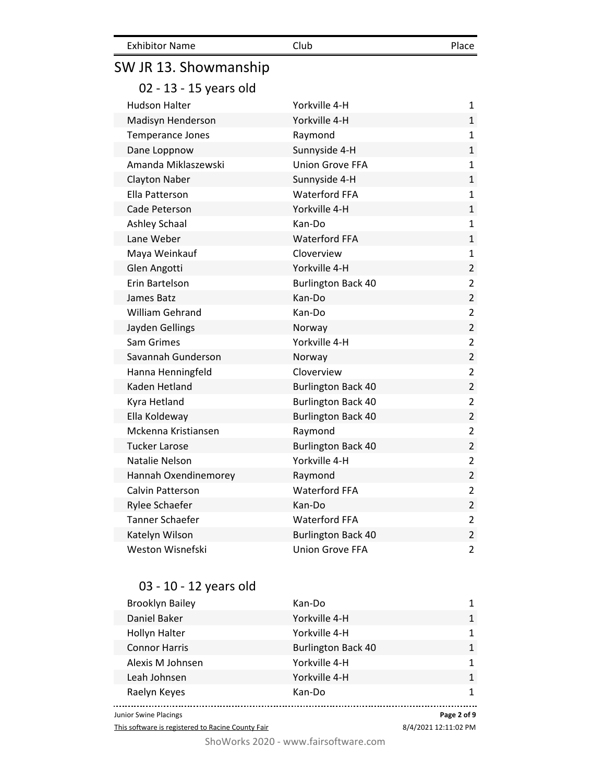| <b>Exhibitor Name</b>   | Club                      | Place          |
|-------------------------|---------------------------|----------------|
| SW JR 13. Showmanship   |                           |                |
| 02 - 13 - 15 years old  |                           |                |
| <b>Hudson Halter</b>    | Yorkville 4-H             | 1              |
| Madisyn Henderson       | Yorkville 4-H             | $\mathbf 1$    |
| <b>Temperance Jones</b> | Raymond                   | 1              |
| Dane Loppnow            | Sunnyside 4-H             | $\mathbf 1$    |
| Amanda Miklaszewski     | <b>Union Grove FFA</b>    | 1              |
| <b>Clayton Naber</b>    | Sunnyside 4-H             | $\mathbf{1}$   |
| Ella Patterson          | <b>Waterford FFA</b>      | 1              |
| Cade Peterson           | Yorkville 4-H             | $\mathbf 1$    |
| Ashley Schaal           | Kan-Do                    | 1              |
| Lane Weber              | <b>Waterford FFA</b>      | $\mathbf 1$    |
| Maya Weinkauf           | Cloverview                | 1              |
| Glen Angotti            | Yorkville 4-H             | $\overline{2}$ |
| Erin Bartelson          | <b>Burlington Back 40</b> | 2              |
| James Batz              | Kan-Do                    | $\overline{2}$ |
| <b>William Gehrand</b>  | Kan-Do                    | $\overline{2}$ |
| Jayden Gellings         | Norway                    | $\overline{2}$ |
| Sam Grimes              | Yorkville 4-H             | 2              |
| Savannah Gunderson      | Norway                    | $\overline{2}$ |
| Hanna Henningfeld       | Cloverview                | 2              |
| Kaden Hetland           | <b>Burlington Back 40</b> | $\overline{2}$ |
| Kyra Hetland            | <b>Burlington Back 40</b> | 2              |
| Ella Koldeway           | <b>Burlington Back 40</b> | $\overline{2}$ |
| Mckenna Kristiansen     | Raymond                   | 2              |
| <b>Tucker Larose</b>    | <b>Burlington Back 40</b> | $\overline{2}$ |
| Natalie Nelson          | Yorkville 4-H             | 2              |
| Hannah Oxendinemorey    | Raymond                   | $\overline{2}$ |
| Calvin Patterson        | <b>Waterford FFA</b>      | 2              |
| Rylee Schaefer          | Kan-Do                    | $\overline{2}$ |
| <b>Tanner Schaefer</b>  | <b>Waterford FFA</b>      | 2              |
| Katelyn Wilson          | <b>Burlington Back 40</b> | $\overline{2}$ |
| Weston Wisnefski        | <b>Union Grove FFA</b>    | $\overline{2}$ |

### 03 - 10 - 12 years old

| <b>Brooklyn Bailey</b> | Kan-Do        |                           |   |
|------------------------|---------------|---------------------------|---|
| Daniel Baker           | Yorkville 4-H |                           |   |
| <b>Hollyn Halter</b>   | Yorkville 4-H |                           |   |
| <b>Connor Harris</b>   |               | <b>Burlington Back 40</b> |   |
| Alexis M Johnsen       | Yorkville 4-H |                           |   |
| Leah Johnsen           | Yorkville 4-H |                           | 1 |
| Raelyn Keyes           | Kan-Do        |                           |   |
| Junior Swine Placings  |               | Page 2 of 9               |   |

This software is registered to Racine County Fair

8/4/2021 12:11:02 PM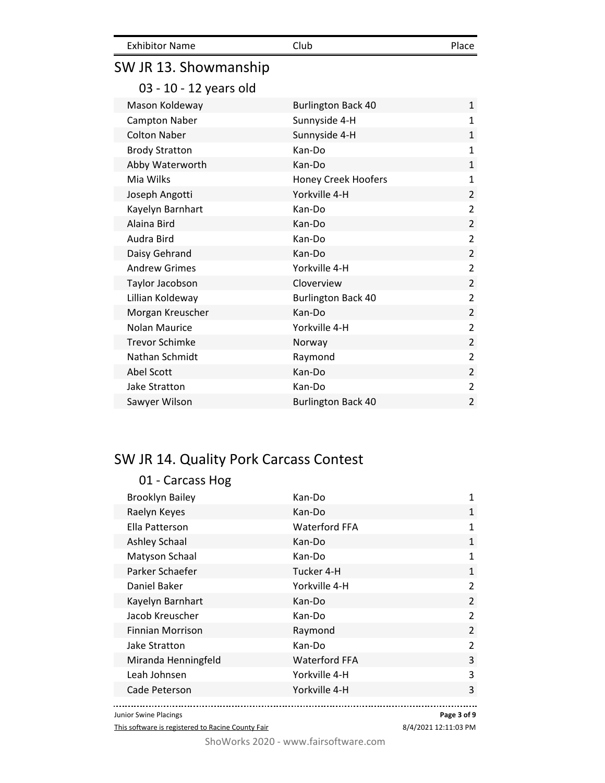| <b>Exhibitor Name</b>  | Club                       | Place          |
|------------------------|----------------------------|----------------|
| SW JR 13. Showmanship  |                            |                |
| 03 - 10 - 12 years old |                            |                |
| Mason Koldeway         | <b>Burlington Back 40</b>  | $\mathbf{1}$   |
| <b>Campton Naber</b>   | Sunnyside 4-H              | 1              |
| <b>Colton Naber</b>    | Sunnyside 4-H              | $\mathbf{1}$   |
| <b>Brody Stratton</b>  | Kan-Do                     | $\mathbf{1}$   |
| Abby Waterworth        | Kan-Do                     | 1              |
| Mia Wilks              | <b>Honey Creek Hoofers</b> | 1              |
| Joseph Angotti         | Yorkville 4-H              | $\overline{2}$ |
| Kayelyn Barnhart       | Kan-Do                     | $\overline{2}$ |
| Alaina Bird            | Kan-Do                     | $\overline{2}$ |
| Audra Bird             | Kan-Do                     | 2              |
| Daisy Gehrand          | Kan-Do                     | $\overline{2}$ |
| <b>Andrew Grimes</b>   | Yorkville 4-H              | $\overline{2}$ |
| Taylor Jacobson        | Cloverview                 | $\overline{2}$ |
| Lillian Koldeway       | <b>Burlington Back 40</b>  | $\overline{2}$ |
| Morgan Kreuscher       | Kan-Do                     | $\overline{2}$ |
| <b>Nolan Maurice</b>   | Yorkville 4-H              | $\overline{2}$ |
| <b>Trevor Schimke</b>  | Norway                     | $\overline{2}$ |
| Nathan Schmidt         | Raymond                    | 2              |
| <b>Abel Scott</b>      | Kan-Do                     | $\overline{2}$ |
| <b>Jake Stratton</b>   | Kan-Do                     | 2              |
| Sawyer Wilson          | <b>Burlington Back 40</b>  | 2              |

# SW JR 14. Quality Pork Carcass Contest

| 01 - Carcass Hog        |                      |                |
|-------------------------|----------------------|----------------|
| <b>Brooklyn Bailey</b>  | Kan-Do               | 1              |
| Raelyn Keyes            | Kan-Do               | 1              |
| Ella Patterson          | <b>Waterford FFA</b> | 1              |
| Ashley Schaal           | Kan-Do               | $\mathbf{1}$   |
| Matyson Schaal          | Kan-Do               | 1              |
| Parker Schaefer         | Tucker 4-H           | 1              |
| Daniel Baker            | Yorkville 4-H        | $\mathcal{P}$  |
| Kayelyn Barnhart        | Kan-Do               | $\mathfrak{p}$ |
| Jacob Kreuscher         | Kan-Do               | $\mathcal{P}$  |
| <b>Finnian Morrison</b> | Raymond              | $\overline{2}$ |
| Jake Stratton           | Kan-Do               | $\mathfrak{p}$ |
| Miranda Henningfeld     | <b>Waterford FFA</b> | 3              |
| Leah Johnsen            | Yorkville 4-H        | 3              |
| Cade Peterson           | Yorkville 4-H        | 3              |
|                         |                      |                |

Junior Swine Placings

This software is registered to Racine County Fair

8/4/2021 12:11:03 PM **Page 3 of 9**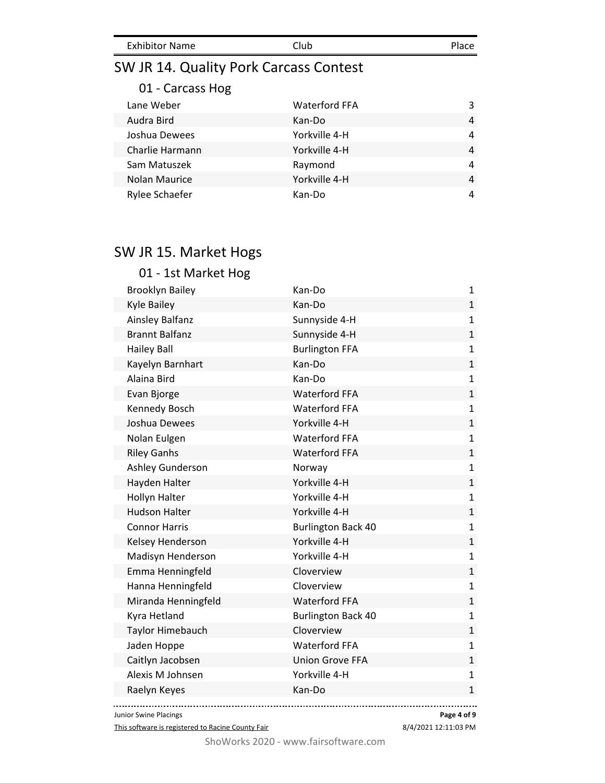| <b>Exhibitor Name</b> | Club | Place |
|-----------------------|------|-------|
|                       |      |       |

### SW JR 14. Quality Pork Carcass Contest

#### 01 - Carcass Hog

| Lane Weber      | <b>Waterford FFA</b> | 3 |
|-----------------|----------------------|---|
| Audra Bird      | Kan-Do               | 4 |
| Joshua Dewees   | Yorkville 4-H        | 4 |
| Charlie Harmann | Yorkville 4-H        | 4 |
| Sam Matuszek    | Raymond              | 4 |
| Nolan Maurice   | Yorkville 4-H        | 4 |
| Rylee Schaefer  | Kan-Do               | 4 |

#### SW JR 15. Market Hogs

#### 01 - 1st Market Hog Brooklyn Bailey **Kan-Do Kan-Do** 1 Kyle Bailey **Kan-Do** 1 Ainsley Balfanz **Sunnyside 4-H** 1 Brannt Balfanz **Sunnyside 4-H** 1 Hailey Ball **Burlington FFA** 1 Kayelyn Barnhart 1988 - Kan-Do 1988 - Kan-Manus 1988 - Kan-Manus 1988 - Kan-Manus 1988 - Kan-Manus 1988 - Kan-Alaina Bird Kan-Do 1 Evan Bjorge 11 and 12 and 12 and 13 and 13 and 13 and 13 and 13 and 13 and 13 and 13 and 13 and 13 and 13 and 1 Kennedy Bosch **Waterford FFA** 1 Joshua Dewees Yorkville 4-H 1 Nolan Eulgen 1 and 1 Waterford FFA 1 Riley Ganhs **National Struck Community Community** Waterford FFA 1 Ashley Gunderson Norway Norway 1 Hayden Halter **1** 1 Hollyn Halter Yorkville 4-H 1 Hudson Halter Yorkville 4-H 1 Connor Harris **Burlington Back 40** 1 Kelsey Henderson **Yorkville 4-H** 1 Madisyn Henderson **Madisyn Henderson** Yorkville 4-H 1 Emma Henningfeld Cloverview Controller and the 1 Hanna Henningfeld **Cloverview** 1 Miranda Henningfeld Waterford FFA 1 Kyra Hetland 1 and 1 Burlington Back 40 and 1 and 1 and 1 and 1 and 1 and 1 and 1 and 1 and 1 and 1 and 1 and 1 Taylor Himebauch Cloverview Construction Construction 1 Jaden Hoppe 1 and 1 Waterford FFA 1 Caitlyn Jacobsen Union Grove FFA 1 Alexis M Johnsen **Notify Article 1** Yorkville 4-H 1 Raelyn Keyes **Kan-Do** 1

. . . . . . . . . . . . . . . . . . . . Junior Swine Placings

This software is registered to Racine County Fair

**Page 4 of 9**

وبالمحادث

8/4/2021 12:11:03 PM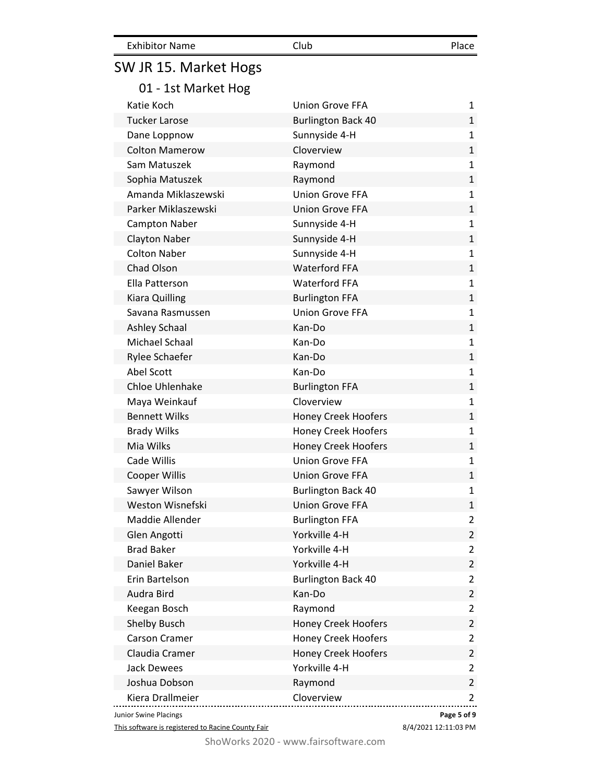| <b>Exhibitor Name</b> | Club                       | Place          |
|-----------------------|----------------------------|----------------|
| SW JR 15. Market Hogs |                            |                |
| 01 - 1st Market Hog   |                            |                |
| Katie Koch            | Union Grove FFA            | 1              |
| <b>Tucker Larose</b>  | <b>Burlington Back 40</b>  | $\mathbf{1}$   |
| Dane Loppnow          | Sunnyside 4-H              | $\mathbf{1}$   |
| <b>Colton Mamerow</b> | Cloverview                 | $\mathbf{1}$   |
| Sam Matuszek          | Raymond                    | $\mathbf{1}$   |
| Sophia Matuszek       | Raymond                    | $\mathbf{1}$   |
| Amanda Miklaszewski   | <b>Union Grove FFA</b>     | $\mathbf{1}$   |
| Parker Miklaszewski   | <b>Union Grove FFA</b>     | $\mathbf{1}$   |
| Campton Naber         | Sunnyside 4-H              | $\mathbf{1}$   |
| <b>Clayton Naber</b>  | Sunnyside 4-H              | $\mathbf{1}$   |
| <b>Colton Naber</b>   | Sunnyside 4-H              | $\mathbf{1}$   |
| Chad Olson            | <b>Waterford FFA</b>       | $\mathbf{1}$   |
| Ella Patterson        | <b>Waterford FFA</b>       | $\mathbf{1}$   |
| <b>Kiara Quilling</b> | <b>Burlington FFA</b>      | 1              |
| Savana Rasmussen      | <b>Union Grove FFA</b>     | $\mathbf{1}$   |
| <b>Ashley Schaal</b>  | Kan-Do                     | $\mathbf{1}$   |
| Michael Schaal        | Kan-Do                     | $\mathbf{1}$   |
| Rylee Schaefer        | Kan-Do                     | $\mathbf{1}$   |
| Abel Scott            | Kan-Do                     | $\mathbf{1}$   |
| Chloe Uhlenhake       | <b>Burlington FFA</b>      | $\mathbf{1}$   |
| Maya Weinkauf         | Cloverview                 | $\mathbf{1}$   |
| <b>Bennett Wilks</b>  | <b>Honey Creek Hoofers</b> | 1              |
| <b>Brady Wilks</b>    | Honey Creek Hoofers        | $\mathbf{1}$   |
| Mia Wilks             | <b>Honey Creek Hoofers</b> | $\mathbf{1}$   |
| Cade Willis           | <b>Union Grove FFA</b>     | $\mathbf{1}$   |
| <b>Cooper Willis</b>  | <b>Union Grove FFA</b>     | 1              |
| Sawyer Wilson         | <b>Burlington Back 40</b>  | 1              |
| Weston Wisnefski      | <b>Union Grove FFA</b>     | $\mathbf{1}$   |
| Maddie Allender       | <b>Burlington FFA</b>      | $\overline{2}$ |
| Glen Angotti          | Yorkville 4-H              | $\overline{2}$ |
| <b>Brad Baker</b>     | Yorkville 4-H              | $\overline{2}$ |
| Daniel Baker          | Yorkville 4-H              | $\overline{2}$ |
| Erin Bartelson        | <b>Burlington Back 40</b>  | $\overline{2}$ |
| Audra Bird            | Kan-Do                     | $\overline{2}$ |
| Keegan Bosch          | Raymond                    | $\overline{2}$ |
| Shelby Busch          | <b>Honey Creek Hoofers</b> | $\overline{2}$ |
| Carson Cramer         | <b>Honey Creek Hoofers</b> | $\overline{2}$ |
| Claudia Cramer        | <b>Honey Creek Hoofers</b> | $\overline{2}$ |
| <b>Jack Dewees</b>    | Yorkville 4-H              | $\overline{2}$ |
| Joshua Dobson         | Raymond                    | $\overline{2}$ |
| Kiera Drallmeier      | Cloverview                 | $\overline{2}$ |

Junior Swine Placings

This software is registered to Racine County Fair

8/4/2021 12:11:03 PM

**Page 5 of 9**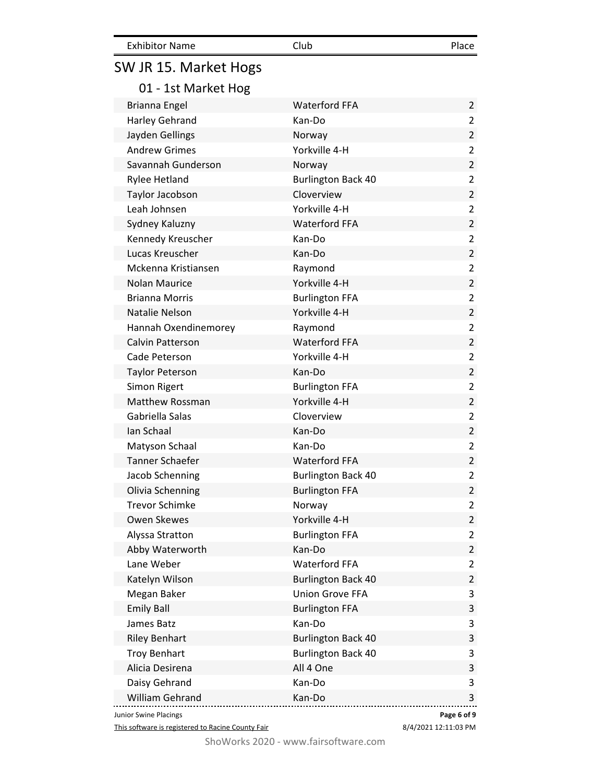| SW JR 15. Market Hogs   |                           |                |
|-------------------------|---------------------------|----------------|
| 01 - 1st Market Hog     |                           |                |
| Brianna Engel           | <b>Waterford FFA</b>      | $\overline{2}$ |
| <b>Harley Gehrand</b>   | Kan-Do                    | 2              |
| Jayden Gellings         | Norway                    | $\overline{2}$ |
| <b>Andrew Grimes</b>    | Yorkville 4-H             | 2              |
| Savannah Gunderson      | Norway                    | $\overline{2}$ |
| <b>Rylee Hetland</b>    | <b>Burlington Back 40</b> | 2              |
| Taylor Jacobson         | Cloverview                | $\overline{2}$ |
| Leah Johnsen            | Yorkville 4-H             | 2              |
| Sydney Kaluzny          | <b>Waterford FFA</b>      | $\overline{2}$ |
| Kennedy Kreuscher       | Kan-Do                    | 2              |
| Lucas Kreuscher         | Kan-Do                    | $\overline{2}$ |
| Mckenna Kristiansen     | Raymond                   | 2              |
| <b>Nolan Maurice</b>    | Yorkville 4-H             | $\overline{2}$ |
| <b>Brianna Morris</b>   | <b>Burlington FFA</b>     | 2              |
| <b>Natalie Nelson</b>   | Yorkville 4-H             | $\overline{2}$ |
| Hannah Oxendinemorey    | Raymond                   | $\overline{2}$ |
| <b>Calvin Patterson</b> | <b>Waterford FFA</b>      | $\overline{2}$ |
| Cade Peterson           | Yorkville 4-H             | $\overline{2}$ |
| <b>Taylor Peterson</b>  | Kan-Do                    | $\overline{2}$ |
| Simon Rigert            | <b>Burlington FFA</b>     | $\overline{2}$ |
| <b>Matthew Rossman</b>  | Yorkville 4-H             | $\overline{2}$ |
| Gabriella Salas         | Cloverview                | 2              |
| Ian Schaal              | Kan-Do                    | $\overline{2}$ |
| Matyson Schaal          | Kan-Do                    | $\overline{2}$ |
| <b>Tanner Schaefer</b>  | <b>Waterford FFA</b>      | $\overline{2}$ |
| Jacob Schenning         | <b>Burlington Back 40</b> | $\overline{2}$ |
| Olivia Schenning        | <b>Burlington FFA</b>     | $\overline{2}$ |
| <b>Trevor Schimke</b>   | Norway                    | 2              |
| Owen Skewes             | Yorkville 4-H             | $\overline{2}$ |
| Alyssa Stratton         | <b>Burlington FFA</b>     | 2              |
| Abby Waterworth         | Kan-Do                    | $\overline{2}$ |
| Lane Weber              | <b>Waterford FFA</b>      | 2              |
| Katelyn Wilson          | <b>Burlington Back 40</b> | $\overline{2}$ |
| Megan Baker             | <b>Union Grove FFA</b>    | 3              |
| <b>Emily Ball</b>       | <b>Burlington FFA</b>     | 3              |
| James Batz              | Kan-Do                    | 3              |
| <b>Riley Benhart</b>    | <b>Burlington Back 40</b> | 3              |
| <b>Troy Benhart</b>     | <b>Burlington Back 40</b> | 3              |
| Alicia Desirena         | All 4 One                 | 3              |
| Daisy Gehrand           | Kan-Do                    | 3              |
| <b>William Gehrand</b>  | Kan-Do                    | 3              |

Exhibitor Name Club Club Place

Junior Swine Placings

This software is registered to Racine County Fair

8/4/2021 12:11:03 PM **Page 6 of 9**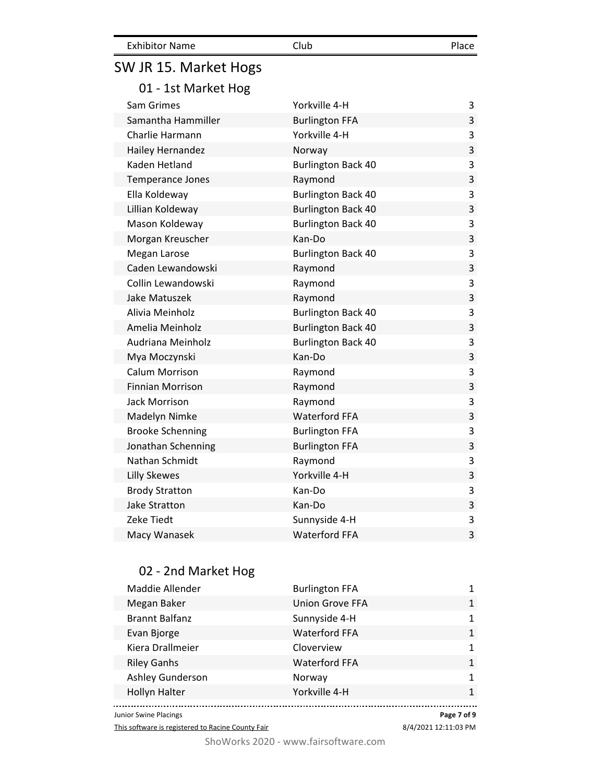| <b>Exhibitor Name</b> | Club | Place |
|-----------------------|------|-------|
|                       |      |       |

# SW JR 15. Market Hogs

01 - 1st Market Hog

| Sam Grimes              | Yorkville 4-H             | 3 |
|-------------------------|---------------------------|---|
| Samantha Hammiller      | <b>Burlington FFA</b>     | 3 |
| Charlie Harmann         | Yorkville 4-H             | 3 |
| Hailey Hernandez        | Norway                    | 3 |
| Kaden Hetland           | <b>Burlington Back 40</b> | 3 |
| <b>Temperance Jones</b> | Raymond                   | 3 |
| Ella Koldeway           | <b>Burlington Back 40</b> | 3 |
| Lillian Koldeway        | <b>Burlington Back 40</b> | 3 |
| Mason Koldeway          | <b>Burlington Back 40</b> | 3 |
| Morgan Kreuscher        | Kan-Do                    | 3 |
| Megan Larose            | <b>Burlington Back 40</b> | 3 |
| Caden Lewandowski       | Raymond                   | 3 |
| Collin Lewandowski      | Raymond                   | 3 |
| Jake Matuszek           | Raymond                   | 3 |
| Alivia Meinholz         | <b>Burlington Back 40</b> | 3 |
| Amelia Meinholz         | <b>Burlington Back 40</b> | 3 |
| Audriana Meinholz       | <b>Burlington Back 40</b> | 3 |
| Mya Moczynski           | Kan-Do                    | 3 |
| Calum Morrison          | Raymond                   | 3 |
| <b>Finnian Morrison</b> | Raymond                   | 3 |
| Jack Morrison           | Raymond                   | 3 |
| Madelyn Nimke           | <b>Waterford FFA</b>      | 3 |
| <b>Brooke Schenning</b> | <b>Burlington FFA</b>     | 3 |
| Jonathan Schenning      | <b>Burlington FFA</b>     | 3 |
| Nathan Schmidt          | Raymond                   | 3 |
| <b>Lilly Skewes</b>     | Yorkville 4-H             | 3 |
| <b>Brody Stratton</b>   | Kan-Do                    | 3 |
| Jake Stratton           | Kan-Do                    | 3 |
| Zeke Tiedt              | Sunnyside 4-H             | 3 |
| Macy Wanasek            | <b>Waterford FFA</b>      | 3 |

### 02 - 2nd Market Hog

| Maddie Allender       | <b>Burlington FFA</b>  |              |
|-----------------------|------------------------|--------------|
| Megan Baker           | <b>Union Grove FFA</b> | 1            |
| <b>Brannt Balfanz</b> | Sunnyside 4-H          | $\mathbf{1}$ |
| Evan Bjorge           | <b>Waterford FFA</b>   | $\mathbf{1}$ |
| Kiera Drallmeier      | Cloverview             | 1            |
| <b>Riley Ganhs</b>    | <b>Waterford FFA</b>   | $\mathbf{1}$ |
| Ashley Gunderson      | Norway                 | 1            |
| <b>Hollyn Halter</b>  | Yorkville 4-H          | $\mathbf{1}$ |
|                       |                        |              |

Junior Swine Placings

This software is registered to Racine County Fair

8/4/2021 12:11:03 PM **Page 7 of 9**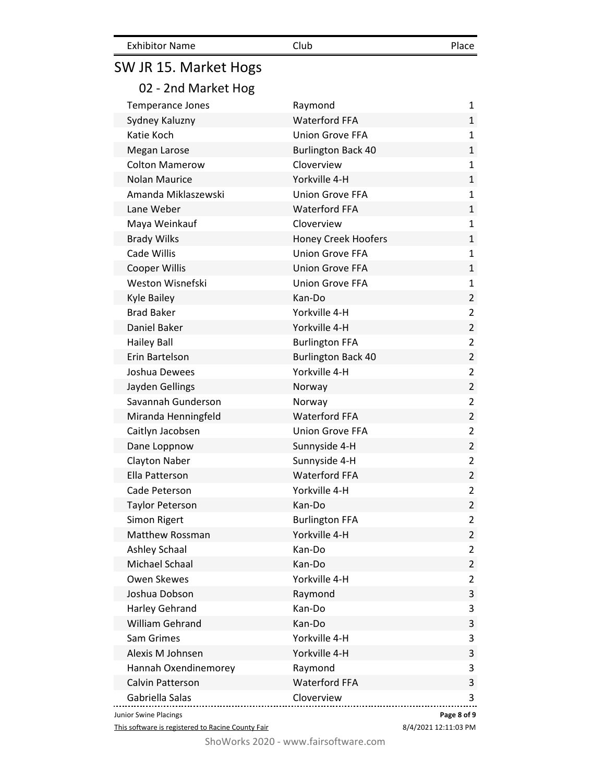| <b>Exhibitor Name</b> | Club | Place |
|-----------------------|------|-------|
|                       |      |       |

# SW JR 15. Market Hogs

| <b>Temperance Jones</b> | Raymond                    | $\mathbf{1}$   |
|-------------------------|----------------------------|----------------|
| Sydney Kaluzny          | <b>Waterford FFA</b>       | $\mathbf{1}$   |
| Katie Koch              | <b>Union Grove FFA</b>     | $\mathbf{1}$   |
| Megan Larose            | <b>Burlington Back 40</b>  | $\mathbf{1}$   |
| <b>Colton Mamerow</b>   | Cloverview                 | $\mathbf{1}$   |
| <b>Nolan Maurice</b>    | Yorkville 4-H              | $\mathbf{1}$   |
| Amanda Miklaszewski     | <b>Union Grove FFA</b>     | $\mathbf{1}$   |
| Lane Weber              | <b>Waterford FFA</b>       | $\mathbf{1}$   |
| Maya Weinkauf           | Cloverview                 | $\mathbf{1}$   |
| <b>Brady Wilks</b>      | <b>Honey Creek Hoofers</b> | $\mathbf{1}$   |
| Cade Willis             | <b>Union Grove FFA</b>     | $\mathbf{1}$   |
| <b>Cooper Willis</b>    | <b>Union Grove FFA</b>     | $\mathbf{1}$   |
| Weston Wisnefski        | <b>Union Grove FFA</b>     | $\mathbf{1}$   |
| Kyle Bailey             | Kan-Do                     | $\overline{2}$ |
| <b>Brad Baker</b>       | Yorkville 4-H              | $\overline{2}$ |
| Daniel Baker            | Yorkville 4-H              | $\overline{2}$ |
| <b>Hailey Ball</b>      | <b>Burlington FFA</b>      | $\overline{2}$ |
| Erin Bartelson          | <b>Burlington Back 40</b>  | $\overline{2}$ |
| Joshua Dewees           | Yorkville 4-H              | $\overline{2}$ |
| Jayden Gellings         | Norway                     | $\overline{2}$ |
| Savannah Gunderson      | Norway                     | $\overline{2}$ |
| Miranda Henningfeld     | <b>Waterford FFA</b>       | $\overline{2}$ |
| Caitlyn Jacobsen        | <b>Union Grove FFA</b>     | $\overline{2}$ |
| Dane Loppnow            | Sunnyside 4-H              | $\overline{2}$ |
| <b>Clayton Naber</b>    | Sunnyside 4-H              | $\overline{2}$ |
| Ella Patterson          | <b>Waterford FFA</b>       | $\overline{2}$ |
| Cade Peterson           | Yorkville 4-H              | $\overline{2}$ |
| <b>Taylor Peterson</b>  | Kan-Do                     | $\overline{2}$ |
| Simon Rigert            | <b>Burlington FFA</b>      | $\overline{2}$ |
| <b>Matthew Rossman</b>  | Yorkville 4-H              | $\overline{2}$ |
| <b>Ashley Schaal</b>    | Kan-Do                     | $\overline{2}$ |
| Michael Schaal          | Kan-Do                     | $\overline{2}$ |
| Owen Skewes             | Yorkville 4-H              | $\overline{2}$ |
| Joshua Dobson           | Raymond                    | 3              |
| <b>Harley Gehrand</b>   | Kan-Do                     | 3              |
| William Gehrand         | Kan-Do                     | 3              |
| Sam Grimes              | Yorkville 4-H              | 3              |
| Alexis M Johnsen        | Yorkville 4-H              | 3              |
| Hannah Oxendinemorey    | Raymond                    | 3              |
| Calvin Patterson        | <b>Waterford FFA</b>       | 3              |
| Gabriella Salas         | Cloverview                 | 3              |
| Junior Swine Placings   | Page 8 of 9                |                |

This software is registered to Racine County Fair

8/4/2021 12:11:03 PM